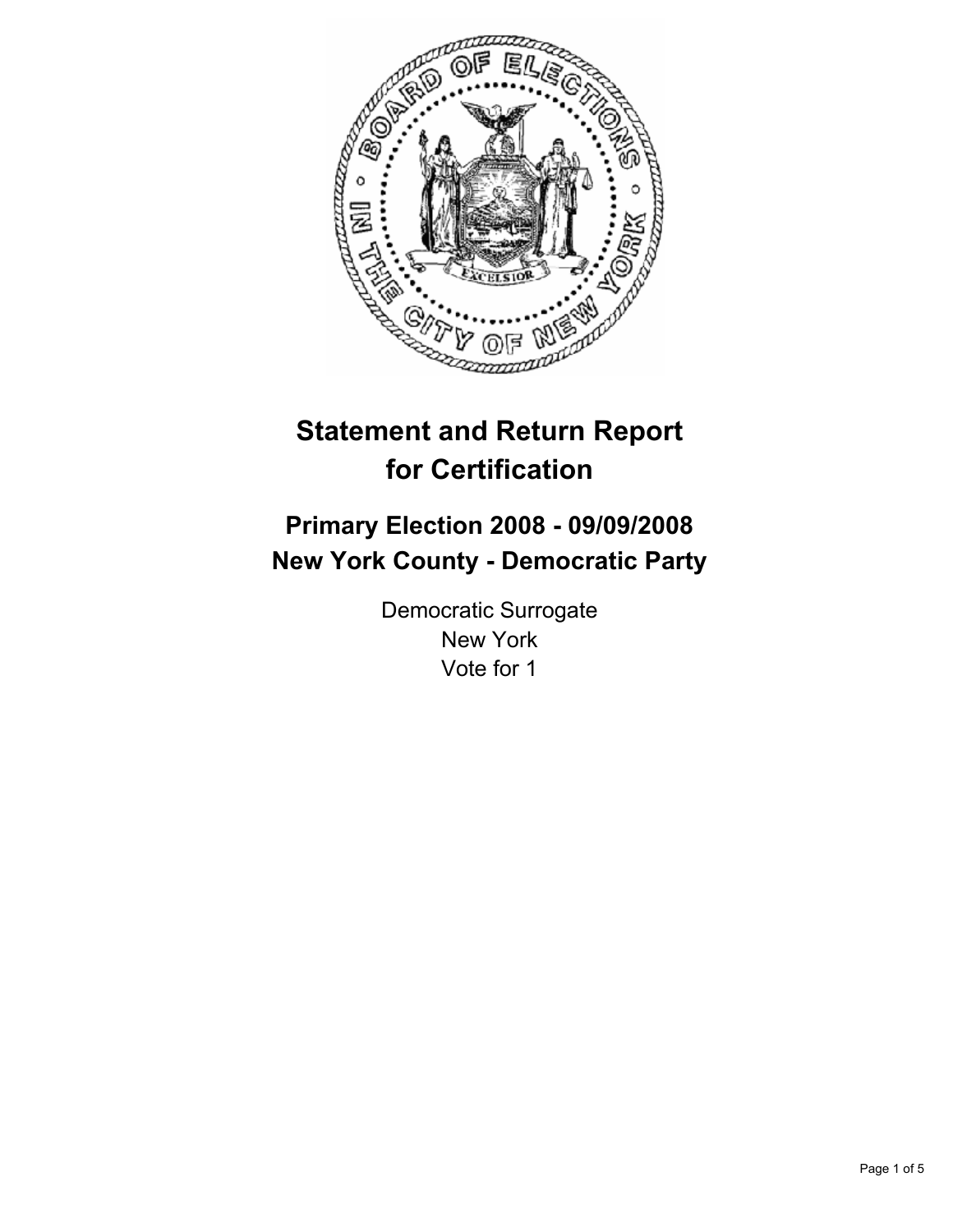

# **Statement and Return Report for Certification**

# **Primary Election 2008 - 09/09/2008 New York County - Democratic Party**

Democratic Surrogate New York Vote for 1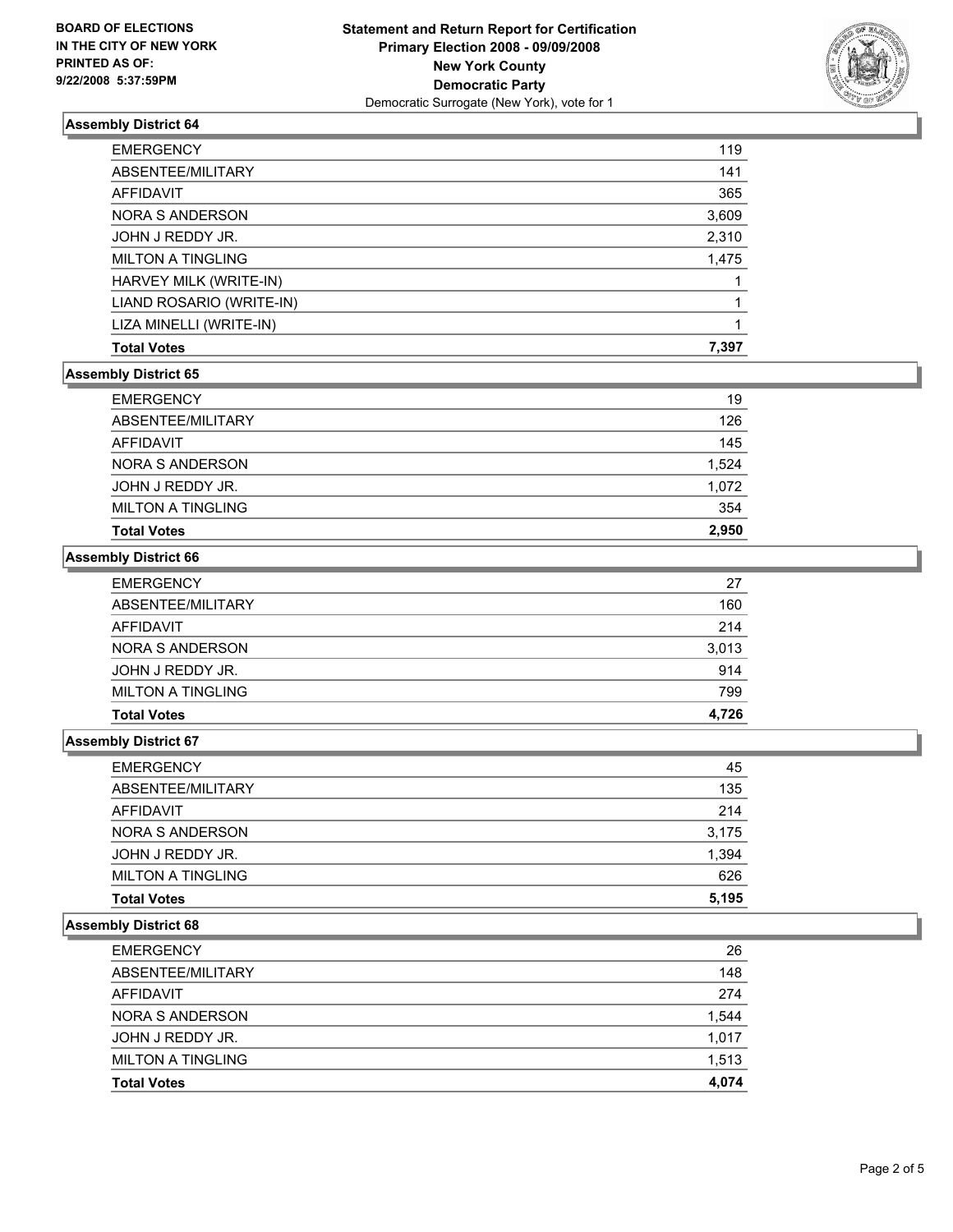

# **Assembly District 64**

| <b>Total Votes</b>       | 7,397 |
|--------------------------|-------|
| LIZA MINELLI (WRITE-IN)  |       |
| LIAND ROSARIO (WRITE-IN) |       |
| HARVEY MILK (WRITE-IN)   |       |
| <b>MILTON A TINGLING</b> | 1,475 |
| JOHN J REDDY JR.         | 2,310 |
| NORA S ANDERSON          | 3,609 |
| AFFIDAVIT                | 365   |
| ABSENTEE/MILITARY        | 141   |
| <b>EMERGENCY</b>         | 119   |

#### **Assembly District 65**

| <b>Total Votes</b>       | 2.950 |
|--------------------------|-------|
| <b>MILTON A TINGLING</b> | 354   |
| JOHN J REDDY JR.         | 1,072 |
| NORA S ANDERSON          | 1,524 |
| AFFIDAVIT                | 145   |
| ABSENTEE/MILITARY        | 126   |
| <b>EMERGENCY</b>         | 19    |

## **Assembly District 66**

| <b>EMERGENCY</b>         | 27    |
|--------------------------|-------|
| ABSENTEE/MILITARY        | 160   |
| AFFIDAVIT                | 214   |
| NORA S ANDERSON          | 3,013 |
| JOHN J REDDY JR.         | 914   |
| <b>MILTON A TINGLING</b> | 799   |
| <b>Total Votes</b>       | 4,726 |

#### **Assembly District 67**

| <b>MILTON A TINGLING</b> | 626   |
|--------------------------|-------|
| JOHN J REDDY JR.         | 1,394 |
| NORA S ANDERSON          | 3,175 |
| AFFIDAVIT                | 214   |
| ABSENTEE/MILITARY        | 135   |
| <b>EMERGENCY</b>         | 45    |

#### **Assembly District 68**

| <b>EMERGENCY</b>         | 26    |
|--------------------------|-------|
| ABSENTEE/MILITARY        | 148   |
| AFFIDAVIT                | 274   |
| NORA S ANDERSON          | 1,544 |
| JOHN J REDDY JR.         | 1,017 |
| <b>MILTON A TINGLING</b> | 1,513 |
| <b>Total Votes</b>       | 4,074 |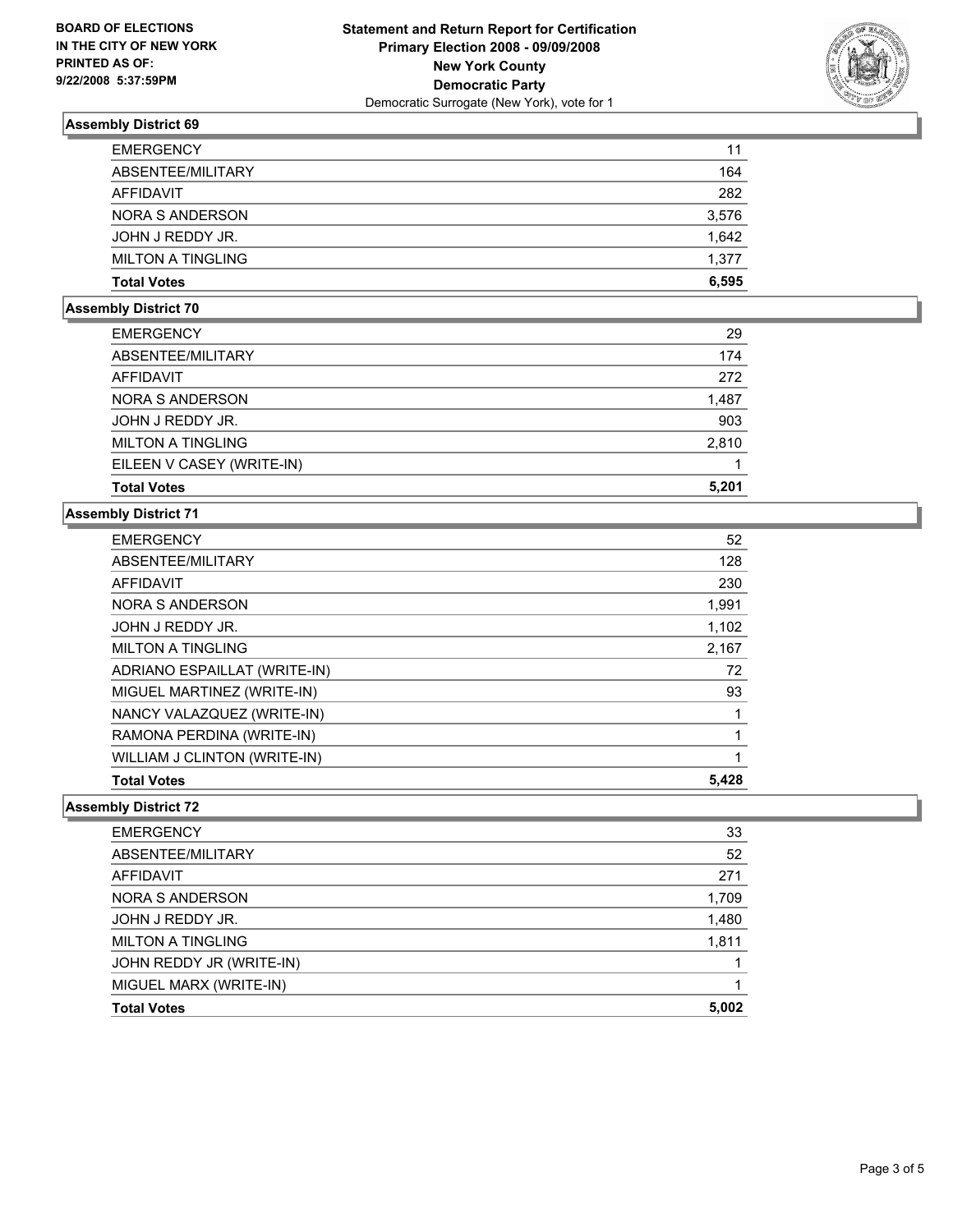

# **Assembly District 69**

| 11    |
|-------|
| 164   |
| 282   |
| 3,576 |
| 1,642 |
| 1,377 |
| 6,595 |
|       |

#### **Assembly District 70**

| <b>EMERGENCY</b>          | 29    |
|---------------------------|-------|
| ABSENTEE/MILITARY         | 174   |
| AFFIDAVIT                 | 272   |
| <b>NORA S ANDERSON</b>    | 1,487 |
| JOHN J REDDY JR.          | 903   |
| <b>MILTON A TINGLING</b>  | 2,810 |
| EILEEN V CASEY (WRITE-IN) |       |
| <b>Total Votes</b>        | 5,201 |

## **Assembly District 71**

| 52    |
|-------|
| 128   |
| 230   |
| 1,991 |
| 1,102 |
| 2,167 |
| 72    |
| 93    |
|       |
|       |
|       |
| 5,428 |
|       |

## **Assembly District 72**

| <b>EMERGENCY</b>         | 33    |
|--------------------------|-------|
| ABSENTEE/MILITARY        | 52    |
| AFFIDAVIT                | 271   |
| NORA S ANDERSON          | 1,709 |
| JOHN J REDDY JR.         | 1,480 |
| <b>MILTON A TINGLING</b> | 1,811 |
| JOHN REDDY JR (WRITE-IN) |       |
| MIGUEL MARX (WRITE-IN)   |       |
| <b>Total Votes</b>       | 5,002 |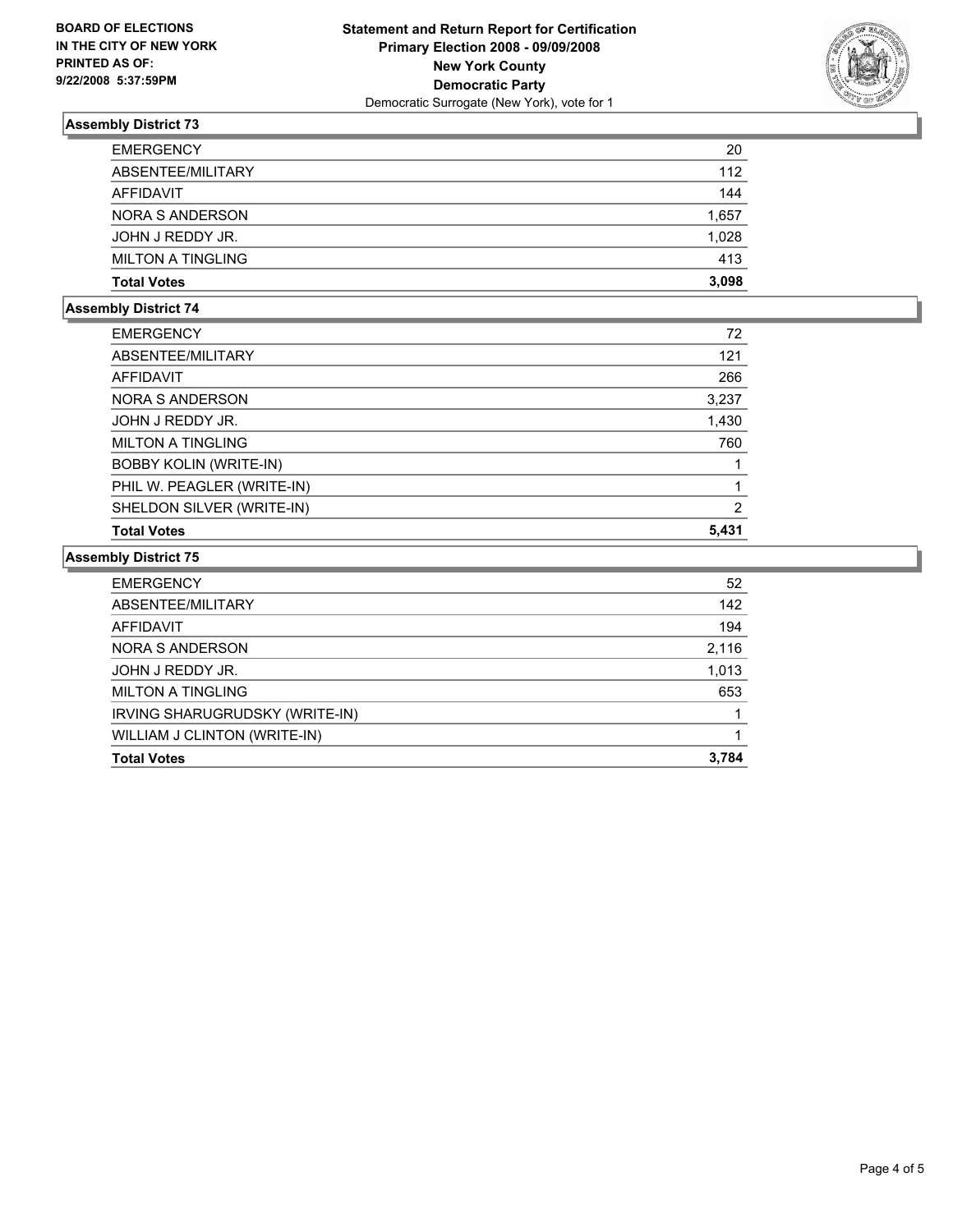

# **Assembly District 73**

| <b>EMERGENCY</b>         | 20    |
|--------------------------|-------|
| ABSENTEE/MILITARY        | 112   |
| AFFIDAVIT                | 144   |
| NORA S ANDERSON          | 1,657 |
| JOHN J REDDY JR.         | 1,028 |
| <b>MILTON A TINGLING</b> | 413   |
| <b>Total Votes</b>       | 3,098 |

## **Assembly District 74**

| 72    |
|-------|
| 121   |
| 266   |
| 3,237 |
| 1,430 |
| 760   |
|       |
|       |
| 2     |
| 5,431 |
|       |

# **Assembly District 75**

| <b>EMERGENCY</b>               | 52    |
|--------------------------------|-------|
| ABSENTEE/MILITARY              | 142   |
| AFFIDAVIT                      | 194   |
| NORA S ANDERSON                | 2,116 |
| JOHN J REDDY JR.               | 1,013 |
| <b>MILTON A TINGLING</b>       | 653   |
| IRVING SHARUGRUDSKY (WRITE-IN) |       |
| WILLIAM J CLINTON (WRITE-IN)   |       |
| <b>Total Votes</b>             | 3,784 |